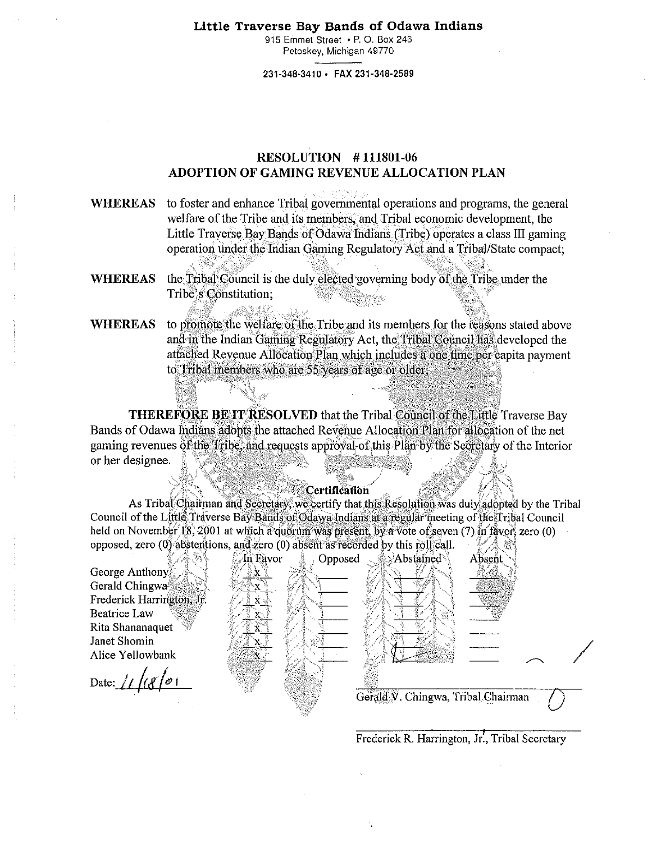#### Little Traverse Bay Bands of Odawa Indians

915 Emmet Street · P. O. Box 246 Petoskey, Michigan 49770

231-348-3410 · FAX 231-348-2589

# **RESOLUTION #111801-06** ADOPTION OF GAMING REVENUE ALLOCATION PLAN

**WHEREAS** to foster and enhance Tribal governmental operations and programs, the general welfare of the Tribe and its members, and Tribal economic development, the Little Traverse Bay Bands of Odawa Indians (Tribe) operates a class III gaming operation under the Indian Gaming Regulatory Act and a Tribal/State compact;

**WHEREAS** the Tribal Council is the duly elected governing body of the Tribe under the Tribe's Constitution;

## **WHEREAS** to promote the welfare of the Tribe and its members for the reasons stated above and in the Indian Gaming Regulatory Act, the Tribal Council has developed the attached Revenue Allocation Plan which includes a one time per capita payment to Tribal members who are 55 years of age or older.

**THEREFORE BE IT RESOLVED** that the Tribal Council of the Liftle Traverse Bay Bands of Odawa Indians adopts the attached Revenue Allocation Plan for allocation of the net gaming revenues of the Tribe, and requests approval of this Plan by the Secretary of the Interior or her designee.

#### Certification

As Tribal Chairman and Secretary, we certify that this Resolution was duly adopted by the Tribal Council of the Little Traverse Bay Bands of Odawa Indians at a regular meeting of the Tribal Council held on November 18, 2001 at which a quorum was present, by a vote of seven (7) in favor, zero (0) opposed, zero (0) abstentions, and zero (0) absent as recorded by this roll call.

Absent

Frederick R. Harrington, Jr., Tribal Secretary

George Anthony Gerald Chingwas Frederick Harrington, Jr. **Beatrice Law** Rita Shananaquet Janet Shomin Alice Yellowbank

Date:  $1/68/0$ 

. In Favor Opposed  $\lambda$ Abstained Gerald V. Chingwa, Tribal Chairman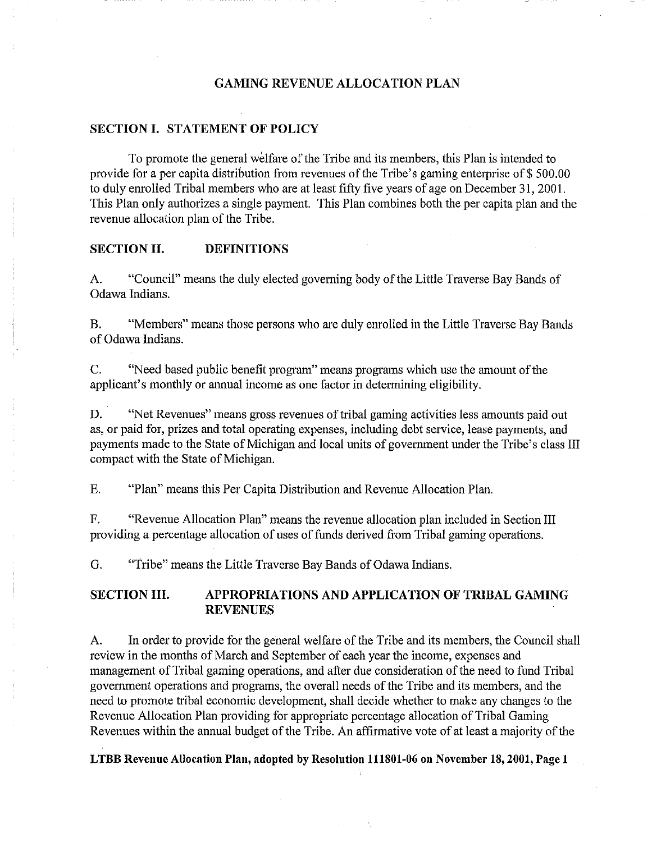### **GAMING REVENUE ALLOCATION PLAN**

### **SECTION I. STATEMENT OF POLICY**

To promote the general welfare of the Tribe and its members, this Plan is intended to provide for a per capita distribution from revenues of the Tribe's gaming enterprise of \$ 500.00 to duly enrolled Tribal members who are at least fifty five years of age on December 31, 2001. This Plan only authorizes a single payment. This Plan combines both the per capita plan and the revenue allocation plan of the Tribe.

## **SECTION II. DEFINITIONS**

A. "Council" means the duly elected governing body of the Little Traverse Bay Bands of Odawa Indians.

B. "Members" means those persons who are duly enrolled in **the** Little Traverse Bay Bands of Odawa Indians.

C. "Need based public benefit program" means programs which use the amount of the applicant's monthly or annual income as one factor in determining eligibility.

D. "Net Revenues" means gross revenues of tribal gaming activities less amounts paid out as, or paid for, prizes and total operating expenses, including debt service, lease payments, and payments made to the State of Michigan and local units of government under the Tribe's class HI compact with the State of Michigan.

E. "Plan" means this Per Capita Distribution and Revenue Allocation Plan.

F. "Revenue Allocation Plan" means the revenue allocation plan included in Section HI providing a percentage allocation of uses of funds derived from Tribal gaming operations.

G. "Tribe" means the Little Traverse Bay Bands of Odawa Indians.

## **SECTION III. APPROPRIATIONS AND APPLICATION OF TRIBAL GAMING REVENUES**

A. In order to provide for the general welfare of the Tribe and its members, the Council shall review in the months of March and September of each year the income, expenses and management of Tribal gaming operations, and after due consideration of the need to fund Tribal government operations and programs, the overall needs of the Tribe and its members, and the need to promote tribal economic development, shall decide whether to make any changes to the Revenue Allocation Plan providing for appropriate percentage allocation of Tribal Gaming Revenues within the annual budget of the Tribe. An affirmative vote of at least a majority of the

LTBB Revenue Allocation Plan, adopted by Resolution 111801-06 on November 18, 2001, Page 1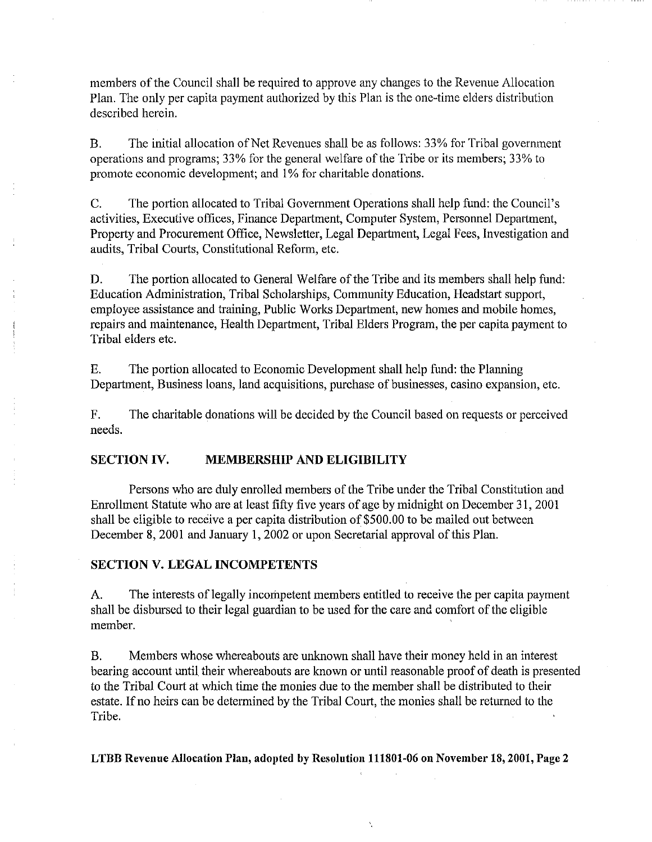members of the Council shall be required to approve any changes to the Revenue Allocation Plan. The only per capita payment authorized by this Plan is the one-time elders distribution described herein.

B. The initial allocation of Net Revenues shall be as follows: 33% for Tribal government operations and programs; 33% for the general welfare of the Tribe or its members; 33% to promote economic development; and 1% for charitable donations.

C. The portion allocated to Tribal Government Operations shall help fund: the Council's activities, Executive offices, Finance Department, Computer System, Personnel Department, Property and Procurement Office, Newsletter, Legal Department, Legal Fees, Investigation and audits, Tribal Courts, Constitutional Reform, etc.

D. The portion allocated to General Welfare of the Tribe and its members shall help fund: Education Administration, Tribal Scholarships, Community Education, Headstart support, employee assistance and training, Public Works Department, new homes and mobile homes, repairs and maintenance, Health Department, Tribal Elders Program, the per capita payment to Tribal elders etc.

E. The portion allocated to Economic Development shall help fund: the Planning Department, Business loans, land acquisitions, purchase of businesses, casino expansion, etc.

F. The charitable donations will be decided by the Council based on requests or perceived needs.

### SECTION IV. MEMBERSHIP AND ELIGIBILITY

Persons who are duly enrolled members of the Tribe under the Tribal Constitution and Enrollment Statute who are at least fifty five years of age by midnight on December 31, 2001 shall be eligible to receive a per capita distribution of \$500.00 to be mailed out between December 8, 2001 and January 1, 2002 or upon Secretarial approval of this Plan.

## SECTION V. LEGAL INCOMPETENTS

A. The interests of legally incompetent members entitled to receive the per capita payment shall be disbursed to their legal guardian to be used for the care and comfort of the eligible member.

B. Members whose whereabouts are unknown shall have their money held in an interest bearing account until their whereabouts are known or until reasonable proof of death is presented to the Tribal Court at which time the monies due to the member shall be distributed to their estate. If no heirs can be determined by the Tribal Court, the monies shall be returned to the Tribe.

LTBB Revenue Allocation Plan, adopted by Resolution 111801-06 on November 18, 2001, Page 2